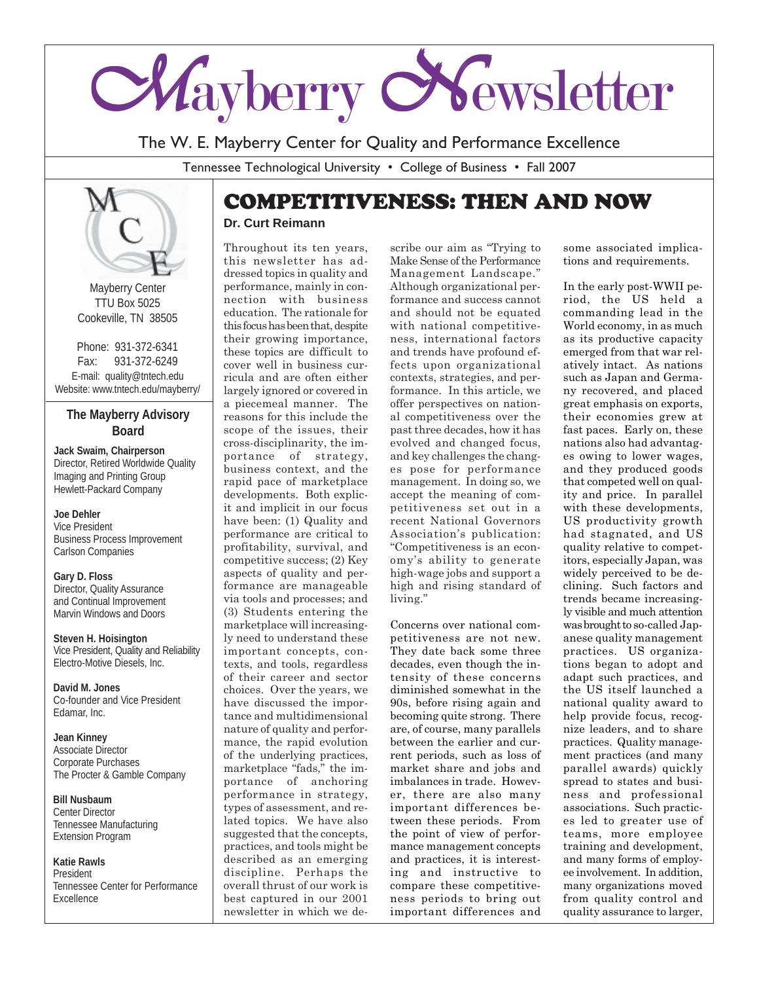

The W. E. Mayberry Center for Quality and Performance Excellence

Tennessee Technological University • College of Business • Fall 2007



Mayberry Center TTU Box 5025 Cookeville, TN 38505

Phone: 931-372-6341 Fax: 931-372-6249 E-mail: quality@tntech.edu Website: www.tntech.edu/mayberry/

#### **The Mayberry Advisory Board**

**Jack Swaim, Chairperson** Director, Retired Worldwide Quality Imaging and Printing Group Hewlett-Packard Company

#### **Joe Dehler**

Vice President Business Process Improvement Carlson Companies

#### **Gary D. Floss**

Director, Quality Assurance and Continual Improvement Marvin Windows and Doors

**Steven H. Hoisington** Vice President, Quality and Reliability Electro-Motive Diesels, Inc.

**David M. Jones** Co-founder and Vice President Edamar, Inc.

**Jean Kinney** Associate Director Corporate Purchases The Procter & Gamble Company

**Bill Nusbaum** Center Director Tennessee Manufacturing Extension Program

**Katie Rawls** President Tennessee Center for Performance Excellence

## COMPETITIVENESS: THEN AND NOW

#### **Dr. Curt Reimann**

Throughout its ten years, this newsletter has addressed topics in quality and performance, mainly in connection with business education. The rationale for this focus has been that, despite their growing importance, these topics are difficult to cover well in business curricula and are often either largely ignored or covered in a piecemeal manner. The reasons for this include the scope of the issues, their cross-disciplinarity, the importance of strategy, business context, and the rapid pace of marketplace developments. Both explicit and implicit in our focus have been: (1) Quality and performance are critical to profitability, survival, and competitive success; (2) Key aspects of quality and performance are manageable via tools and processes; and (3) Students entering the marketplace will increasingly need to understand these important concepts, contexts, and tools, regardless of their career and sector choices. Over the years, we have discussed the importance and multidimensional nature of quality and performance, the rapid evolution of the underlying practices, marketplace "fads," the importance of anchoring performance in strategy, types of assessment, and related topics. We have also suggested that the concepts, practices, and tools might be described as an emerging discipline. Perhaps the overall thrust of our work is best captured in our 2001 newsletter in which we describe our aim as "Trying to Make Sense of the Performance Management Landscape." Although organizational performance and success cannot and should not be equated with national competitiveness, international factors and trends have profound effects upon organizational contexts, strategies, and performance. In this article, we offer perspectives on national competitiveness over the past three decades, how it has evolved and changed focus, and key challenges the changes pose for performance management. In doing so, we accept the meaning of competitiveness set out in a recent National Governors Association's publication: "Competitiveness is an economy's ability to generate high-wage jobs and support a high and rising standard of living."

Concerns over national competitiveness are not new. They date back some three decades, even though the intensity of these concerns diminished somewhat in the 90s, before rising again and becoming quite strong. There are, of course, many parallels between the earlier and current periods, such as loss of market share and jobs and imbalances in trade. However, there are also many important differences between these periods. From the point of view of performance management concepts and practices, it is interesting and instructive to compare these competitiveness periods to bring out important differences and

some associated implications and requirements.

In the early post-WWII period, the US held a commanding lead in the World economy, in as much as its productive capacity emerged from that war relatively intact. As nations such as Japan and Germany recovered, and placed great emphasis on exports, their economies grew at fast paces. Early on, these nations also had advantages owing to lower wages, and they produced goods that competed well on quality and price. In parallel with these developments, US productivity growth had stagnated, and US quality relative to competitors, especially Japan, was widely perceived to be declining. Such factors and trends became increasingly visible and much attention was brought to so-called Japanese quality management practices. US organizations began to adopt and adapt such practices, and the US itself launched a national quality award to help provide focus, recognize leaders, and to share practices. Quality management practices (and many parallel awards) quickly spread to states and business and professional associations. Such practices led to greater use of teams, more employee training and development, and many forms of employee involvement. In addition, many organizations moved from quality control and quality assurance to larger,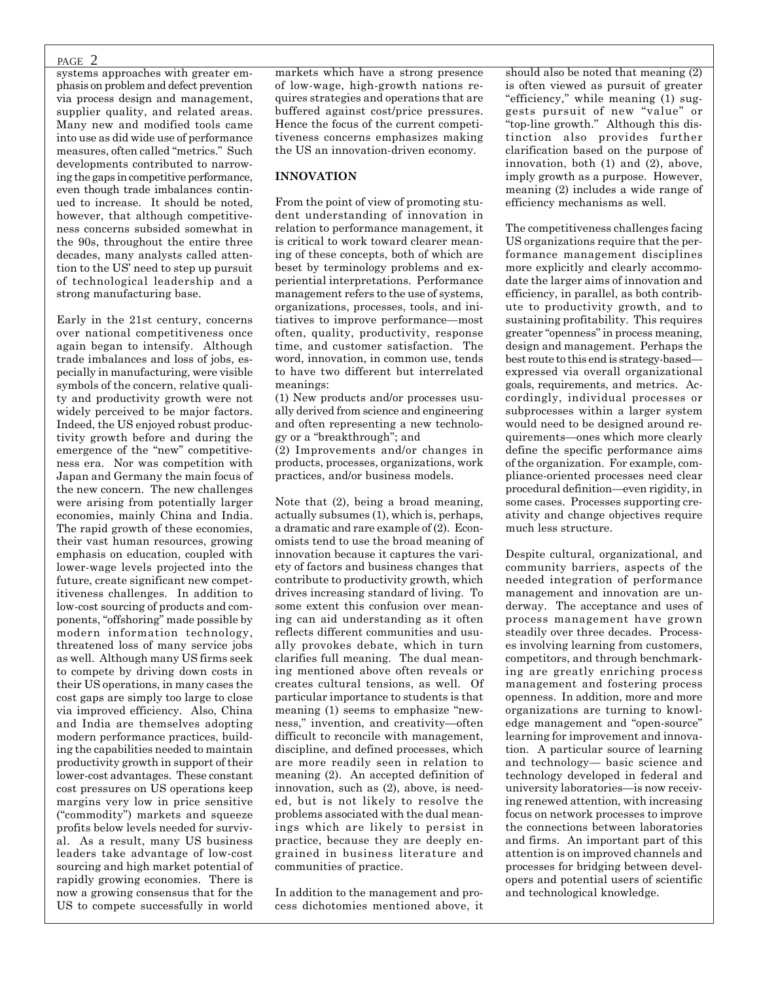#### PAGE 2

systems approaches with greater emphasis on problem and defect prevention via process design and management, supplier quality, and related areas. Many new and modified tools came into use as did wide use of performance measures, often called "metrics." Such developments contributed to narrowing the gaps in competitive performance, even though trade imbalances continued to increase. It should be noted, however, that although competitiveness concerns subsided somewhat in the 90s, throughout the entire three decades, many analysts called attention to the US' need to step up pursuit of technological leadership and a strong manufacturing base.

Early in the 21st century, concerns over national competitiveness once again began to intensify. Although trade imbalances and loss of jobs, especially in manufacturing, were visible symbols of the concern, relative quality and productivity growth were not widely perceived to be major factors. Indeed, the US enjoyed robust productivity growth before and during the emergence of the "new" competitiveness era. Nor was competition with Japan and Germany the main focus of the new concern. The new challenges were arising from potentially larger economies, mainly China and India. The rapid growth of these economies, their vast human resources, growing emphasis on education, coupled with lower-wage levels projected into the future, create significant new competitiveness challenges. In addition to low-cost sourcing of products and components, "offshoring" made possible by modern information technology, threatened loss of many service jobs as well. Although many US firms seek to compete by driving down costs in their US operations, in many cases the cost gaps are simply too large to close via improved efficiency. Also, China and India are themselves adopting modern performance practices, building the capabilities needed to maintain productivity growth in support of their lower-cost advantages. These constant cost pressures on US operations keep margins very low in price sensitive ("commodity") markets and squeeze profits below levels needed for survival. As a result, many US business leaders take advantage of low-cost sourcing and high market potential of rapidly growing economies. There is now a growing consensus that for the US to compete successfully in world

markets which have a strong presence of low-wage, high-growth nations requires strategies and operations that are buffered against cost/price pressures. Hence the focus of the current competitiveness concerns emphasizes making the US an innovation-driven economy.

#### **INNOVATION**

From the point of view of promoting student understanding of innovation in relation to performance management, it is critical to work toward clearer meaning of these concepts, both of which are beset by terminology problems and experiential interpretations. Performance management refers to the use of systems, organizations, processes, tools, and initiatives to improve performance—most often, quality, productivity, response time, and customer satisfaction. The word, innovation, in common use, tends to have two different but interrelated meanings:

(1) New products and/or processes usually derived from science and engineering and often representing a new technology or a "breakthrough"; and

(2) Improvements and/or changes in products, processes, organizations, work practices, and/or business models.

Note that (2), being a broad meaning, actually subsumes (1), which is, perhaps, a dramatic and rare example of (2). Economists tend to use the broad meaning of innovation because it captures the variety of factors and business changes that contribute to productivity growth, which drives increasing standard of living. To some extent this confusion over meaning can aid understanding as it often reflects different communities and usually provokes debate, which in turn clarifies full meaning. The dual meaning mentioned above often reveals or creates cultural tensions, as well. Of particular importance to students is that meaning (1) seems to emphasize "newness," invention, and creativity—often difficult to reconcile with management, discipline, and defined processes, which are more readily seen in relation to meaning (2). An accepted definition of innovation, such as (2), above, is needed, but is not likely to resolve the problems associated with the dual meanings which are likely to persist in practice, because they are deeply engrained in business literature and communities of practice.

In addition to the management and process dichotomies mentioned above, it should also be noted that meaning (2) is often viewed as pursuit of greater "efficiency," while meaning (1) suggests pursuit of new "value" or "top-line growth." Although this distinction also provides further clarification based on the purpose of innovation, both (1) and (2), above, imply growth as a purpose. However, meaning (2) includes a wide range of efficiency mechanisms as well.

The competitiveness challenges facing US organizations require that the performance management disciplines more explicitly and clearly accommodate the larger aims of innovation and efficiency, in parallel, as both contribute to productivity growth, and to sustaining profitability. This requires greater "openness" in process meaning, design and management. Perhaps the best route to this end is strategy-based expressed via overall organizational goals, requirements, and metrics. Accordingly, individual processes or subprocesses within a larger system would need to be designed around requirements—ones which more clearly define the specific performance aims of the organization. For example, compliance-oriented processes need clear procedural definition—even rigidity, in some cases. Processes supporting creativity and change objectives require much less structure.

Despite cultural, organizational, and community barriers, aspects of the needed integration of performance management and innovation are underway. The acceptance and uses of process management have grown steadily over three decades. Processes involving learning from customers, competitors, and through benchmarking are greatly enriching process management and fostering process openness. In addition, more and more organizations are turning to knowledge management and "open-source" learning for improvement and innovation. A particular source of learning and technology— basic science and technology developed in federal and university laboratories—is now receiving renewed attention, with increasing focus on network processes to improve the connections between laboratories and firms. An important part of this attention is on improved channels and processes for bridging between developers and potential users of scientific and technological knowledge.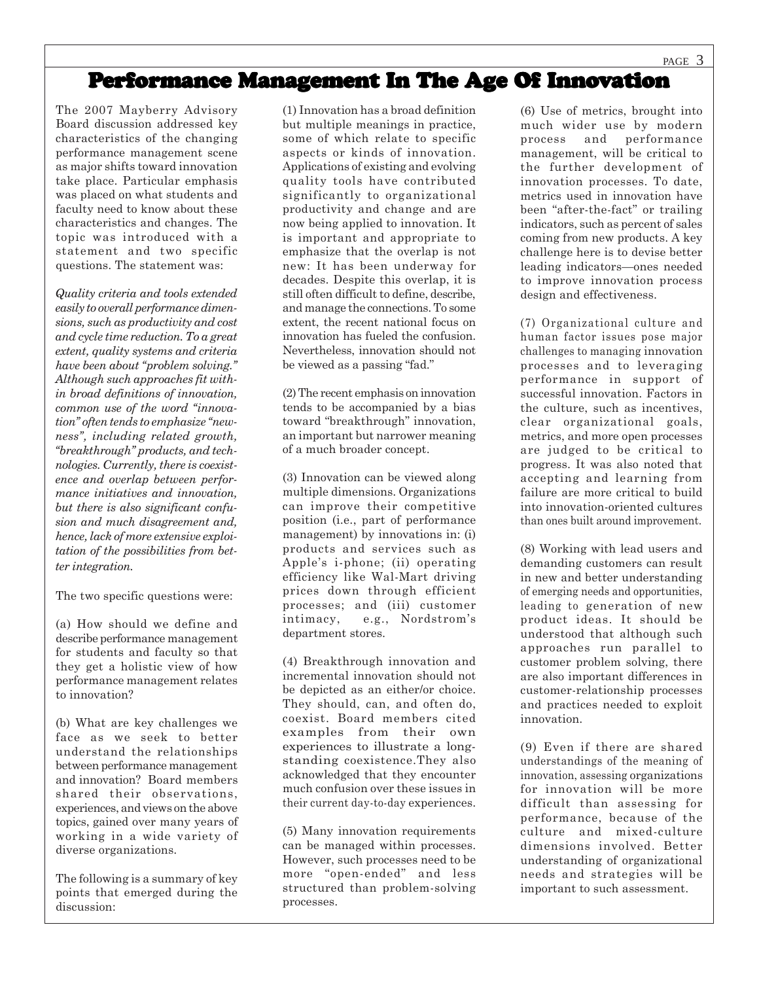## Performance Management In The Age Of Innovation

The 2007 Mayberry Advisory Board discussion addressed key characteristics of the changing performance management scene as major shifts toward innovation take place. Particular emphasis was placed on what students and faculty need to know about these characteristics and changes. The topic was introduced with a statement and two specific questions. The statement was:

*Quality criteria and tools extended easily to overall performance dimensions, such as productivity and cost and cycle time reduction. To a great extent, quality systems and criteria have been about "problem solving." Although such approaches fit within broad definitions of innovation, common use of the word "innovation" often tends to emphasize "newness", including related growth, "breakthrough" products, and technologies. Currently, there is coexistence and overlap between performance initiatives and innovation, but there is also significant confusion and much disagreement and, hence, lack of more extensive exploitation of the possibilities from better integration.*

The two specific questions were:

(a) How should we define and describe performance management for students and faculty so that they get a holistic view of how performance management relates to innovation?

(b) What are key challenges we face as we seek to better understand the relationships between performance management and innovation? Board members shared their observations, experiences, and views on the above topics, gained over many years of working in a wide variety of diverse organizations.

The following is a summary of key points that emerged during the discussion:

(1) Innovation has a broad definition but multiple meanings in practice, some of which relate to specific aspects or kinds of innovation. Applications of existing and evolving quality tools have contributed significantly to organizational productivity and change and are now being applied to innovation. It is important and appropriate to emphasize that the overlap is not new: It has been underway for decades. Despite this overlap, it is still often difficult to define, describe, and manage the connections. To some extent, the recent national focus on innovation has fueled the confusion. Nevertheless, innovation should not be viewed as a passing "fad."

(2) The recent emphasis on innovation tends to be accompanied by a bias toward "breakthrough" innovation, an important but narrower meaning of a much broader concept.

(3) Innovation can be viewed along multiple dimensions. Organizations can improve their competitive position (i.e., part of performance management) by innovations in: (i) products and services such as Apple's i-phone; (ii) operating efficiency like Wal-Mart driving prices down through efficient processes; and (iii) customer intimacy, e.g., Nordstrom's department stores.

(4) Breakthrough innovation and incremental innovation should not be depicted as an either/or choice. They should, can, and often do, coexist. Board members cited examples from their own experiences to illustrate a longstanding coexistence.They also acknowledged that they encounter much confusion over these issues in their current day-to-day experiences.

(5) Many innovation requirements can be managed within processes. However, such processes need to be more "open-ended" and less structured than problem-solving processes.

(6) Use of metrics, brought into much wider use by modern process and performance management, will be critical to the further development of innovation processes. To date, metrics used in innovation have been "after-the-fact" or trailing indicators, such as percent of sales coming from new products. A key challenge here is to devise better leading indicators—ones needed to improve innovation process design and effectiveness.

(7) Organizational culture and human factor issues pose major challenges to managing innovation processes and to leveraging performance in support of successful innovation. Factors in the culture, such as incentives, clear organizational goals, metrics, and more open processes are judged to be critical to progress. It was also noted that accepting and learning from failure are more critical to build into innovation-oriented cultures than ones built around improvement.

(8) Working with lead users and demanding customers can result in new and better understanding of emerging needs and opportunities, leading to generation of new product ideas. It should be understood that although such approaches run parallel to customer problem solving, there are also important differences in customer-relationship processes and practices needed to exploit innovation.

(9) Even if there are shared understandings of the meaning of innovation, assessing organizations for innovation will be more difficult than assessing for performance, because of the culture and mixed-culture dimensions involved. Better understanding of organizational needs and strategies will be important to such assessment.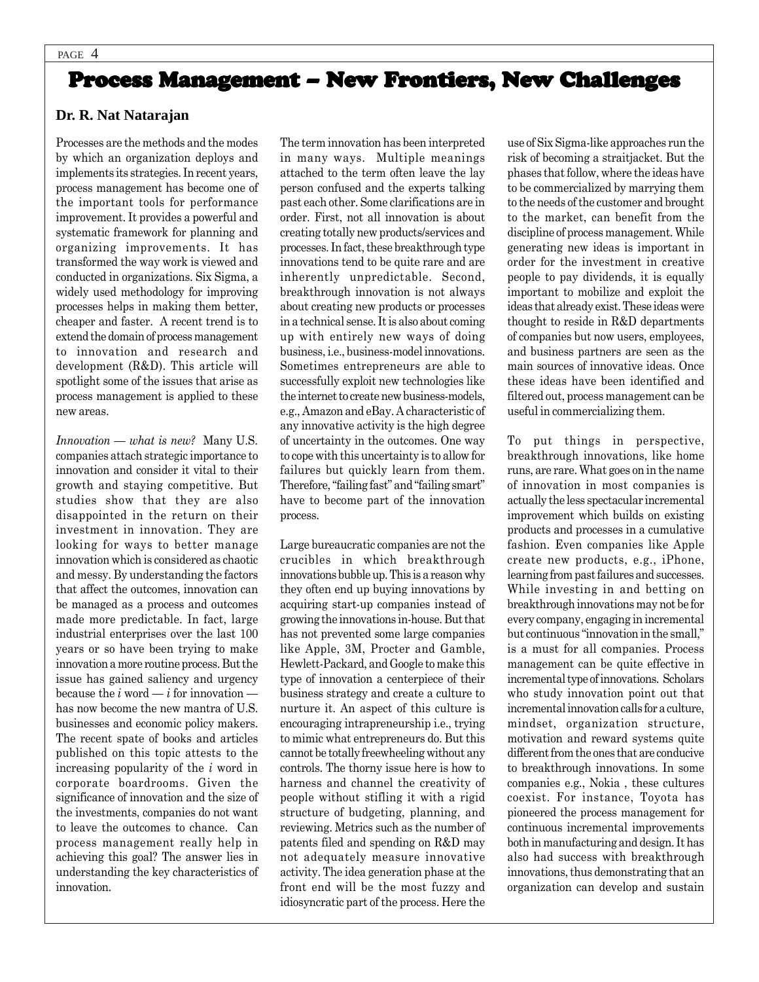## Process Management – New Frontiers, New Challenges

#### **Dr. R. Nat Natarajan**

Processes are the methods and the modes by which an organization deploys and implements its strategies. In recent years, process management has become one of the important tools for performance improvement. It provides a powerful and systematic framework for planning and organizing improvements. It has transformed the way work is viewed and conducted in organizations. Six Sigma, a widely used methodology for improving processes helps in making them better, cheaper and faster. A recent trend is to extend the domain of process management to innovation and research and development (R&D). This article will spotlight some of the issues that arise as process management is applied to these new areas.

*Innovation — what is new?* Many U.S. companies attach strategic importance to innovation and consider it vital to their growth and staying competitive. But studies show that they are also disappointed in the return on their investment in innovation. They are looking for ways to better manage innovation which is considered as chaotic and messy. By understanding the factors that affect the outcomes, innovation can be managed as a process and outcomes made more predictable. In fact, large industrial enterprises over the last 100 years or so have been trying to make innovation a more routine process. But the issue has gained saliency and urgency because the  $i$  word  $-i$  for innovation  $$ has now become the new mantra of U.S. businesses and economic policy makers. The recent spate of books and articles published on this topic attests to the increasing popularity of the *i* word in corporate boardrooms. Given the significance of innovation and the size of the investments, companies do not want to leave the outcomes to chance. Can process management really help in achieving this goal? The answer lies in understanding the key characteristics of innovation.

The term innovation has been interpreted in many ways. Multiple meanings attached to the term often leave the lay person confused and the experts talking past each other. Some clarifications are in order. First, not all innovation is about creating totally new products/services and processes. In fact, these breakthrough type innovations tend to be quite rare and are inherently unpredictable. Second, breakthrough innovation is not always about creating new products or processes in a technical sense. It is also about coming up with entirely new ways of doing business, i.e., business-model innovations. Sometimes entrepreneurs are able to successfully exploit new technologies like the internet to create new business-models, e.g., Amazon and eBay. A characteristic of any innovative activity is the high degree of uncertainty in the outcomes. One way to cope with this uncertainty is to allow for failures but quickly learn from them. Therefore, "failing fast" and "failing smart" have to become part of the innovation process.

Large bureaucratic companies are not the crucibles in which breakthrough innovations bubble up. This is a reason why they often end up buying innovations by acquiring start-up companies instead of growing the innovations in-house. But that has not prevented some large companies like Apple, 3M, Procter and Gamble, Hewlett-Packard, and Google to make this type of innovation a centerpiece of their business strategy and create a culture to nurture it. An aspect of this culture is encouraging intrapreneurship i.e., trying to mimic what entrepreneurs do. But this cannot be totally freewheeling without any controls. The thorny issue here is how to harness and channel the creativity of people without stifling it with a rigid structure of budgeting, planning, and reviewing. Metrics such as the number of patents filed and spending on R&D may not adequately measure innovative activity. The idea generation phase at the front end will be the most fuzzy and idiosyncratic part of the process. Here the

use of Six Sigma-like approaches run the risk of becoming a straitjacket. But the phases that follow, where the ideas have to be commercialized by marrying them to the needs of the customer and brought to the market, can benefit from the discipline of process management. While generating new ideas is important in order for the investment in creative people to pay dividends, it is equally important to mobilize and exploit the ideas that already exist. These ideas were thought to reside in R&D departments of companies but now users, employees, and business partners are seen as the main sources of innovative ideas. Once these ideas have been identified and filtered out, process management can be useful in commercializing them.

To put things in perspective, breakthrough innovations, like home runs, are rare. What goes on in the name of innovation in most companies is actually the less spectacular incremental improvement which builds on existing products and processes in a cumulative fashion. Even companies like Apple create new products, e.g., iPhone, learning from past failures and successes. While investing in and betting on breakthrough innovations may not be for every company, engaging in incremental but continuous "innovation in the small," is a must for all companies. Process management can be quite effective in incremental type of innovations. Scholars who study innovation point out that incremental innovation calls for a culture, mindset, organization structure, motivation and reward systems quite different from the ones that are conducive to breakthrough innovations. In some companies e.g., Nokia , these cultures coexist. For instance, Toyota has pioneered the process management for continuous incremental improvements both in manufacturing and design. It has also had success with breakthrough innovations, thus demonstrating that an organization can develop and sustain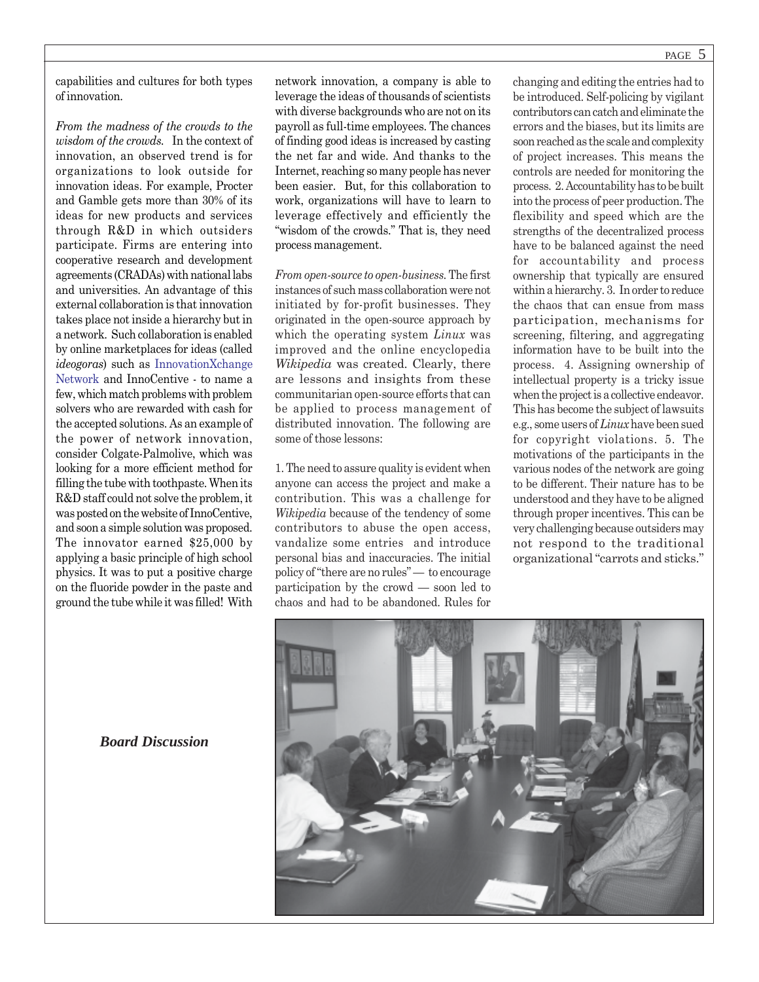capabilities and cultures for both types of innovation.

*From the madness of the crowds to the wisdom of the crowds.* In the context of innovation, an observed trend is for organizations to look outside for innovation ideas. For example, Procter and Gamble gets more than 30% of its ideas for new products and services through R&D in which outsiders participate. Firms are entering into cooperative research and development agreements (CRADAs) with national labs and universities. An advantage of this external collaboration is that innovation takes place not inside a hierarchy but in a network. Such collaboration is enabled by online marketplaces for ideas (called *ideogoras*) such as InnovationXchange Network and InnoCentive - to name a few, which match problems with problem solvers who are rewarded with cash for the accepted solutions. As an example of the power of network innovation, consider Colgate-Palmolive, which was looking for a more efficient method for filling the tube with toothpaste. When its R&D staff could not solve the problem, it was posted on the website of InnoCentive, and soon a simple solution was proposed. The innovator earned \$25,000 by applying a basic principle of high school physics. It was to put a positive charge on the fluoride powder in the paste and ground the tube while it was filled! With

network innovation, a company is able to leverage the ideas of thousands of scientists with diverse backgrounds who are not on its payroll as full-time employees. The chances of finding good ideas is increased by casting the net far and wide. And thanks to the Internet, reaching so many people has never been easier. But, for this collaboration to work, organizations will have to learn to leverage effectively and efficiently the "wisdom of the crowds." That is, they need process management.

*From open-source to open-business.* The first instances of such mass collaboration were not initiated by for-profit businesses. They originated in the open-source approach by which the operating system *Linux* was improved and the online encyclopedia *Wikipedia* was created. Clearly, there are lessons and insights from these communitarian open-source efforts that can be applied to process management of distributed innovation. The following are some of those lessons:

1. The need to assure quality is evident when anyone can access the project and make a contribution. This was a challenge for *Wikipedia* because of the tendency of some contributors to abuse the open access, vandalize some entries and introduce personal bias and inaccuracies. The initial policy of "there are no rules" — to encourage participation by the crowd — soon led to chaos and had to be abandoned. Rules for

changing and editing the entries had to be introduced. Self-policing by vigilant contributors can catch and eliminate the errors and the biases, but its limits are soon reached as the scale and complexity of project increases. This means the controls are needed for monitoring the process. 2. Accountability has to be built into the process of peer production. The flexibility and speed which are the strengths of the decentralized process have to be balanced against the need for accountability and process ownership that typically are ensured within a hierarchy. 3. In order to reduce the chaos that can ensue from mass participation, mechanisms for screening, filtering, and aggregating information have to be built into the process. 4. Assigning ownership of intellectual property is a tricky issue when the project is a collective endeavor. This has become the subject of lawsuits e.g., some users of *Linux* have been sued for copyright violations. 5. The motivations of the participants in the various nodes of the network are going to be different. Their nature has to be understood and they have to be aligned through proper incentives. This can be very challenging because outsiders may not respond to the traditional organizational "carrots and sticks."



*Board Discussion*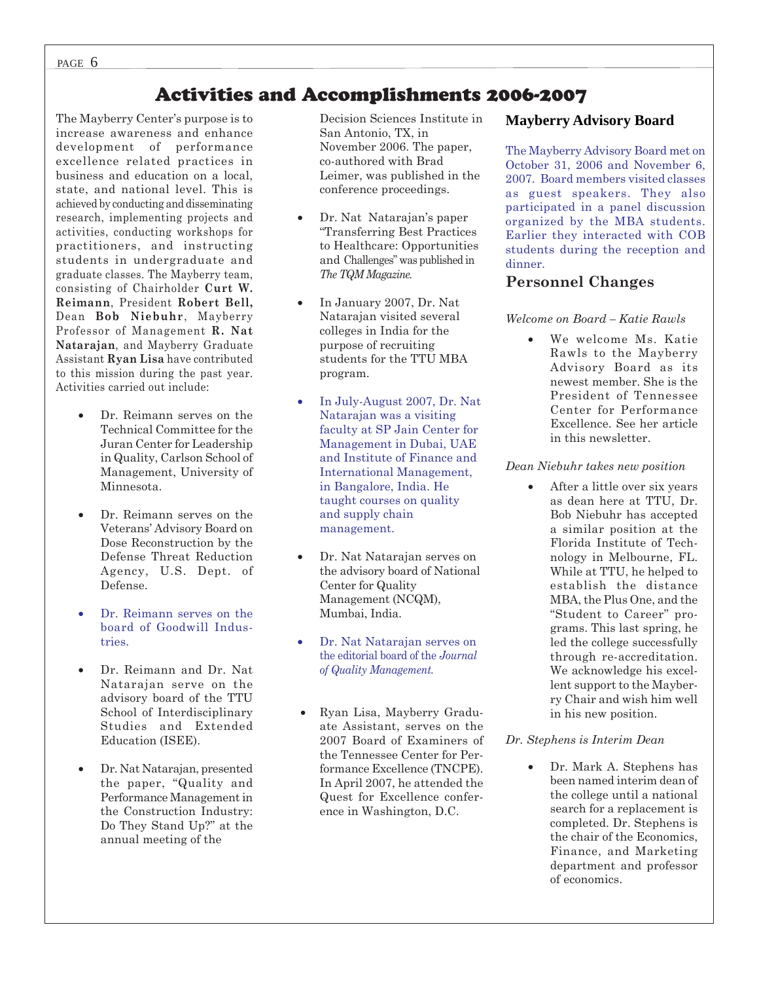## Activities and Accomplishments 2006-2007

The Mayberry Center's purpose is to increase awareness and enhance development of performance excellence related practices in business and education on a local, state, and national level. This is achieved by conducting and disseminating research, implementing projects and activities, conducting workshops for practitioners, and instructing students in undergraduate and graduate classes. The Mayberry team, consisting of Chairholder **Curt W. Reimann**, President **Robert Bell,** Dean **Bob Niebuhr**, Mayberry Professor of Management **R. Nat Natarajan**, and Mayberry Graduate Assistant **Ryan Lisa** have contributed to this mission during the past year. Activities carried out include:

- Dr. Reimann serves on the Technical Committee for the Juran Center for Leadership in Quality, Carlson School of Management, University of Minnesota.
- Dr. Reimann serves on the Veterans' Advisory Board on Dose Reconstruction by the Defense Threat Reduction Agency, U.S. Dept. of Defense.
- Dr. Reimann serves on the board of Goodwill Industries.
- Dr. Reimann and Dr. Nat Natarajan serve on the advisory board of the TTU School of Interdisciplinary Studies and Extended Education (ISEE).
- Dr. Nat Natarajan, presented the paper, "Quality and Performance Management in the Construction Industry: Do They Stand Up?" at the annual meeting of the

Decision Sciences Institute in San Antonio, TX, in November 2006. The paper, co-authored with Brad Leimer, was published in the conference proceedings.

- Dr. Nat Natarajan's paper "Transferring Best Practices to Healthcare: Opportunities and Challenges" was published in *The TQM Magazine.*
- In January 2007, Dr. Nat Natarajan visited several colleges in India for the purpose of recruiting students for the TTU MBA program.
- In July-August 2007, Dr. Nat Natarajan was a visiting faculty at SP Jain Center for Management in Dubai, UAE and Institute of Finance and International Management, in Bangalore, India. He taught courses on quality and supply chain management.
- Dr. Nat Natarajan serves on the advisory board of National Center for Quality Management (NCQM), Mumbai, India.
- Dr. Nat Natarajan serves on the editorial board of the *Journal of Quality Management.*
- Ryan Lisa, Mayberry Graduate Assistant, serves on the 2007 Board of Examiners of the Tennessee Center for Performance Excellence (TNCPE). In April 2007, he attended the Quest for Excellence conference in Washington, D.C.

#### **Mayberry Advisory Board**

The Mayberry Advisory Board met on October 31, 2006 and November 6, 2007. Board members visited classes as guest speakers. They also participated in a panel discussion organized by the MBA students. Earlier they interacted with COB students during the reception and dinner.

#### **Personnel Changes**

#### *Welcome on Board – Katie Rawls*

• We welcome Ms. Katie Rawls to the Mayberry Advisory Board as its newest member. She is the President of Tennessee Center for Performance Excellence. See her article in this newsletter.

#### *Dean Niebuhr takes new position*

After a little over six years as dean here at TTU, Dr. Bob Niebuhr has accepted a similar position at the Florida Institute of Technology in Melbourne, FL. While at TTU, he helped to establish the distance MBA, the Plus One, and the "Student to Career" programs. This last spring, he led the college successfully through re-accreditation. We acknowledge his excellent support to the Mayberry Chair and wish him well in his new position.

#### *Dr. Stephens is Interim Dean*

• Dr. Mark A. Stephens has been named interim dean of the college until a national search for a replacement is completed. Dr. Stephens is the chair of the Economics, Finance, and Marketing department and professor of economics.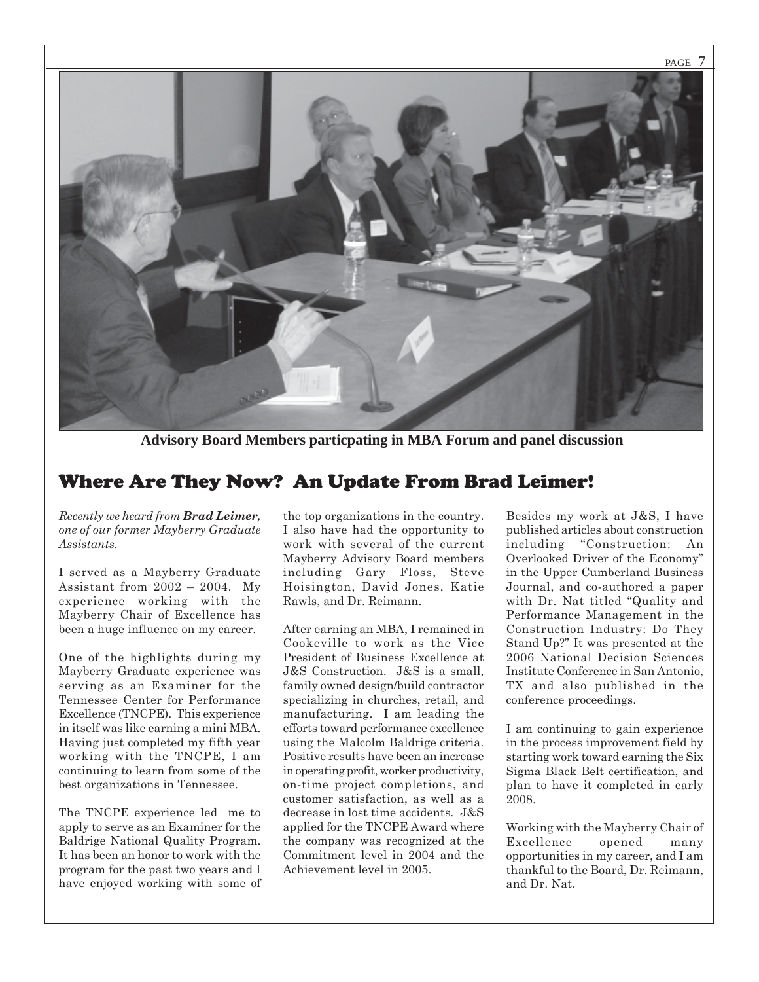

**Advisory Board Members particpating in MBA Forum and panel discussion**

### Where Are They Now? An Update From Brad Leimer!

*Recently we heard from Brad Leimer, one of our former Mayberry Graduate Assistants.*

I served as a Mayberry Graduate Assistant from 2002 – 2004. My experience working with the Mayberry Chair of Excellence has been a huge influence on my career.

One of the highlights during my Mayberry Graduate experience was serving as an Examiner for the Tennessee Center for Performance Excellence (TNCPE). This experience in itself was like earning a mini MBA. Having just completed my fifth year working with the TNCPE, I am continuing to learn from some of the best organizations in Tennessee.

The TNCPE experience led me to apply to serve as an Examiner for the Baldrige National Quality Program. It has been an honor to work with the program for the past two years and I have enjoyed working with some of

the top organizations in the country. I also have had the opportunity to work with several of the current Mayberry Advisory Board members including Gary Floss, Steve Hoisington, David Jones, Katie Rawls, and Dr. Reimann.

After earning an MBA, I remained in Cookeville to work as the Vice President of Business Excellence at J&S Construction. J&S is a small, family owned design/build contractor specializing in churches, retail, and manufacturing. I am leading the efforts toward performance excellence using the Malcolm Baldrige criteria. Positive results have been an increase in operating profit, worker productivity, on-time project completions, and customer satisfaction, as well as a decrease in lost time accidents. J&S applied for the TNCPE Award where the company was recognized at the Commitment level in 2004 and the Achievement level in 2005.

Besides my work at J&S, I have published articles about construction including "Construction: An Overlooked Driver of the Economy" in the Upper Cumberland Business Journal, and co-authored a paper with Dr. Nat titled "Quality and Performance Management in the Construction Industry: Do They Stand Up?" It was presented at the 2006 National Decision Sciences Institute Conference in San Antonio, TX and also published in the conference proceedings.

I am continuing to gain experience in the process improvement field by starting work toward earning the Six Sigma Black Belt certification, and plan to have it completed in early 2008.

Working with the Mayberry Chair of Excellence opened many opportunities in my career, and I am thankful to the Board, Dr. Reimann, and Dr. Nat.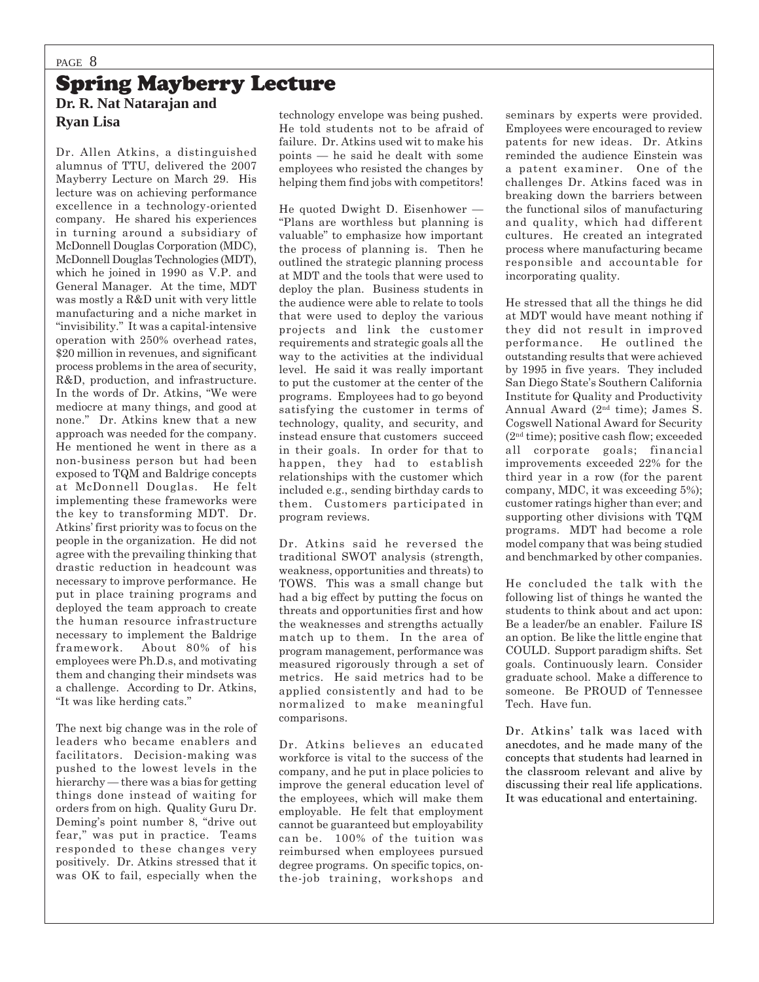### Spring Mayberry Lecture **Dr. R. Nat Natarajan and Ryan Lisa**

Dr. Allen Atkins, a distinguished alumnus of TTU, delivered the 2007 Mayberry Lecture on March 29. His lecture was on achieving performance excellence in a technology-oriented company. He shared his experiences in turning around a subsidiary of McDonnell Douglas Corporation (MDC), McDonnell Douglas Technologies (MDT), which he joined in 1990 as V.P. and General Manager. At the time, MDT was mostly a R&D unit with very little manufacturing and a niche market in "invisibility." It was a capital-intensive operation with 250% overhead rates, \$20 million in revenues, and significant process problems in the area of security, R&D, production, and infrastructure. In the words of Dr. Atkins, "We were mediocre at many things, and good at none." Dr. Atkins knew that a new approach was needed for the company. He mentioned he went in there as a non-business person but had been exposed to TQM and Baldrige concepts at McDonnell Douglas. He felt implementing these frameworks were the key to transforming MDT. Dr. Atkins' first priority was to focus on the people in the organization. He did not agree with the prevailing thinking that drastic reduction in headcount was necessary to improve performance. He put in place training programs and deployed the team approach to create the human resource infrastructure necessary to implement the Baldrige framework. About 80% of his employees were Ph.D.s, and motivating them and changing their mindsets was a challenge. According to Dr. Atkins, "It was like herding cats."

The next big change was in the role of leaders who became enablers and facilitators. Decision-making was pushed to the lowest levels in the hierarchy — there was a bias for getting things done instead of waiting for orders from on high. Quality Guru Dr. Deming's point number 8, "drive out fear," was put in practice. Teams responded to these changes very positively. Dr. Atkins stressed that it was OK to fail, especially when the

technology envelope was being pushed. He told students not to be afraid of failure. Dr. Atkins used wit to make his points — he said he dealt with some employees who resisted the changes by helping them find jobs with competitors!

He quoted Dwight D. Eisenhower — "Plans are worthless but planning is valuable" to emphasize how important the process of planning is. Then he outlined the strategic planning process at MDT and the tools that were used to deploy the plan. Business students in the audience were able to relate to tools that were used to deploy the various projects and link the customer requirements and strategic goals all the way to the activities at the individual level. He said it was really important to put the customer at the center of the programs. Employees had to go beyond satisfying the customer in terms of technology, quality, and security, and instead ensure that customers succeed in their goals. In order for that to happen, they had to establish relationships with the customer which included e.g., sending birthday cards to them. Customers participated in program reviews.

Dr. Atkins said he reversed the traditional SWOT analysis (strength, weakness, opportunities and threats) to TOWS. This was a small change but had a big effect by putting the focus on threats and opportunities first and how the weaknesses and strengths actually match up to them. In the area of program management, performance was measured rigorously through a set of metrics. He said metrics had to be applied consistently and had to be normalized to make meaningful comparisons.

Dr. Atkins believes an educated workforce is vital to the success of the company, and he put in place policies to improve the general education level of the employees, which will make them employable. He felt that employment cannot be guaranteed but employability can be. 100% of the tuition was reimbursed when employees pursued degree programs. On specific topics, onthe-job training, workshops and

seminars by experts were provided. Employees were encouraged to review patents for new ideas. Dr. Atkins reminded the audience Einstein was a patent examiner. One of the challenges Dr. Atkins faced was in breaking down the barriers between the functional silos of manufacturing and quality, which had different cultures. He created an integrated process where manufacturing became responsible and accountable for incorporating quality.

He stressed that all the things he did at MDT would have meant nothing if they did not result in improved performance. He outlined the outstanding results that were achieved by 1995 in five years. They included San Diego State's Southern California Institute for Quality and Productivity Annual Award (2nd time); James S. Cogswell National Award for Security (2nd time); positive cash flow; exceeded all corporate goals; financial improvements exceeded 22% for the third year in a row (for the parent company, MDC, it was exceeding 5%); customer ratings higher than ever; and supporting other divisions with TQM programs. MDT had become a role model company that was being studied and benchmarked by other companies.

He concluded the talk with the following list of things he wanted the students to think about and act upon: Be a leader/be an enabler. Failure IS an option. Be like the little engine that COULD. Support paradigm shifts. Set goals. Continuously learn. Consider graduate school. Make a difference to someone. Be PROUD of Tennessee Tech. Have fun.

Dr. Atkins' talk was laced with anecdotes, and he made many of the concepts that students had learned in the classroom relevant and alive by discussing their real life applications. It was educational and entertaining.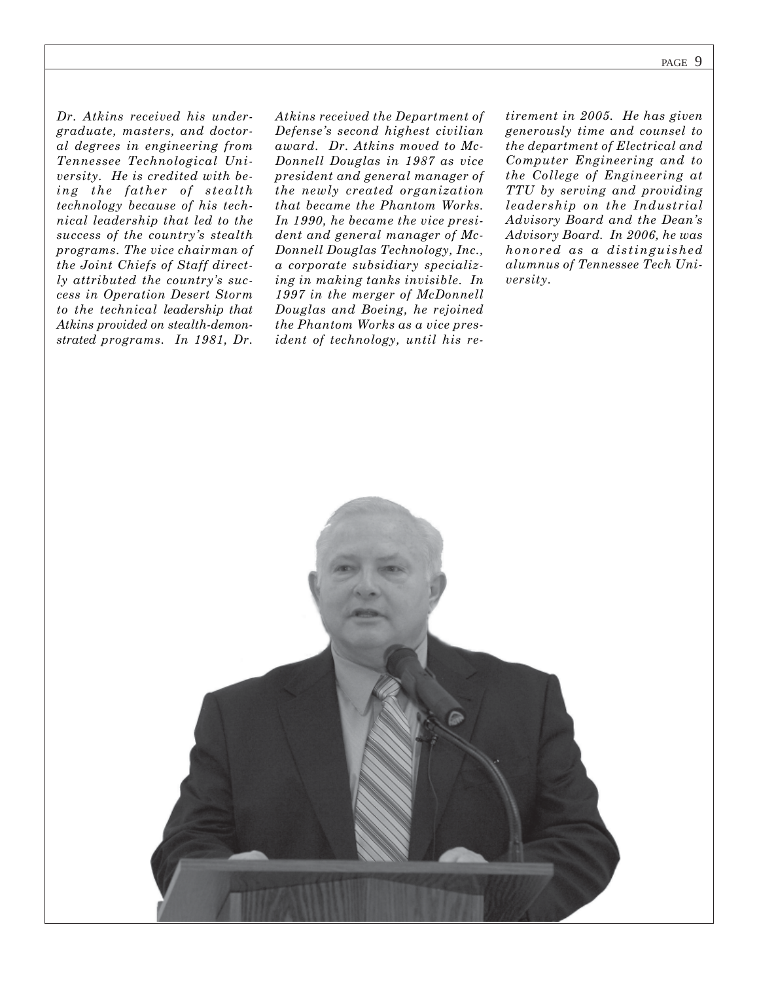*Dr. Atkins received his undergraduate, masters, and doctoral degrees in engineering from Tennessee Technological University. He is credited with being the father of stealth technology because of his technical leadership that led to the success of the country's stealth programs. The vice chairman of the Joint Chiefs of Staff directly attributed the country's success in Operation Desert Storm to the technical leadership that Atkins provided on stealth-demonstrated programs. In 1981, Dr.*

*Atkins received the Department of Defense's second highest civilian award. Dr. Atkins moved to Mc-Donnell Douglas in 1987 as vice president and general manager of the newly created organization that became the Phantom Works. In 1990, he became the vice president and general manager of Mc-Donnell Douglas Technology, Inc., a corporate subsidiary specializing in making tanks invisible. In 1997 in the merger of McDonnell Douglas and Boeing, he rejoined the Phantom Works as a vice president of technology, until his re-*

*tirement in 2005. He has given generously time and counsel to the department of Electrical and Computer Engineering and to the College of Engineering at TTU by serving and providing leadership on the Industrial Advisory Board and the Dean's Advisory Board. In 2006, he was honored as a distinguished alumnus of Tennessee Tech University.*

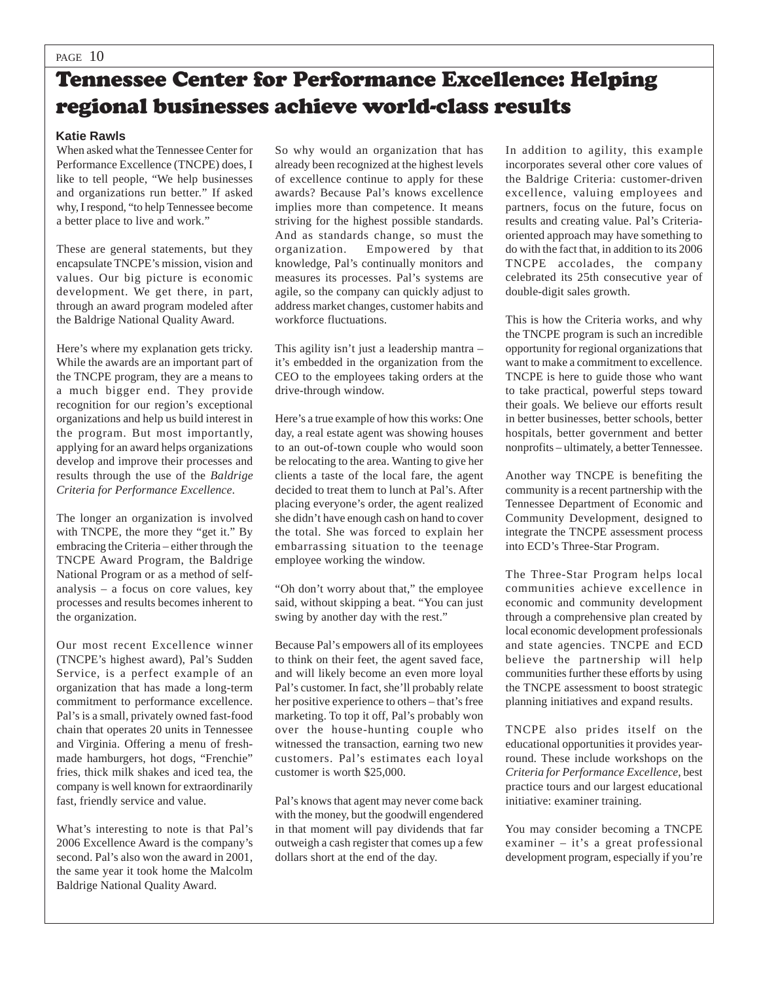## Tennessee Center for Performance Excellence: Helping regional businesses achieve world-class results

#### **Katie Rawls**

When asked what the Tennessee Center for Performance Excellence (TNCPE) does, I like to tell people, "We help businesses and organizations run better." If asked why, I respond, "to help Tennessee become a better place to live and work."

These are general statements, but they encapsulate TNCPE's mission, vision and values. Our big picture is economic development. We get there, in part, through an award program modeled after the Baldrige National Quality Award.

Here's where my explanation gets tricky. While the awards are an important part of the TNCPE program, they are a means to a much bigger end. They provide recognition for our region's exceptional organizations and help us build interest in the program. But most importantly, applying for an award helps organizations develop and improve their processes and results through the use of the *Baldrige Criteria for Performance Excellence*.

The longer an organization is involved with TNCPE, the more they "get it." By embracing the Criteria – either through the TNCPE Award Program, the Baldrige National Program or as a method of selfanalysis – a focus on core values, key processes and results becomes inherent to the organization.

Our most recent Excellence winner (TNCPE's highest award), Pal's Sudden Service, is a perfect example of an organization that has made a long-term commitment to performance excellence. Pal's is a small, privately owned fast-food chain that operates 20 units in Tennessee and Virginia. Offering a menu of freshmade hamburgers, hot dogs, "Frenchie" fries, thick milk shakes and iced tea, the company is well known for extraordinarily fast, friendly service and value.

What's interesting to note is that Pal's 2006 Excellence Award is the company's second. Pal's also won the award in 2001, the same year it took home the Malcolm Baldrige National Quality Award.

So why would an organization that has already been recognized at the highest levels of excellence continue to apply for these awards? Because Pal's knows excellence implies more than competence. It means striving for the highest possible standards. And as standards change, so must the organization. Empowered by that knowledge, Pal's continually monitors and measures its processes. Pal's systems are agile, so the company can quickly adjust to address market changes, customer habits and workforce fluctuations.

This agility isn't just a leadership mantra – it's embedded in the organization from the CEO to the employees taking orders at the drive-through window.

Here's a true example of how this works: One day, a real estate agent was showing houses to an out-of-town couple who would soon be relocating to the area. Wanting to give her clients a taste of the local fare, the agent decided to treat them to lunch at Pal's. After placing everyone's order, the agent realized she didn't have enough cash on hand to cover the total. She was forced to explain her embarrassing situation to the teenage employee working the window.

"Oh don't worry about that," the employee said, without skipping a beat. "You can just swing by another day with the rest."

Because Pal's empowers all of its employees to think on their feet, the agent saved face, and will likely become an even more loyal Pal's customer. In fact, she'll probably relate her positive experience to others – that's free marketing. To top it off, Pal's probably won over the house-hunting couple who witnessed the transaction, earning two new customers. Pal's estimates each loyal customer is worth \$25,000.

Pal's knows that agent may never come back with the money, but the goodwill engendered in that moment will pay dividends that far outweigh a cash register that comes up a few dollars short at the end of the day.

In addition to agility, this example incorporates several other core values of the Baldrige Criteria: customer-driven excellence, valuing employees and partners, focus on the future, focus on results and creating value. Pal's Criteriaoriented approach may have something to do with the fact that, in addition to its 2006 TNCPE accolades, the company celebrated its 25th consecutive year of double-digit sales growth.

This is how the Criteria works, and why the TNCPE program is such an incredible opportunity for regional organizations that want to make a commitment to excellence. TNCPE is here to guide those who want to take practical, powerful steps toward their goals. We believe our efforts result in better businesses, better schools, better hospitals, better government and better nonprofits – ultimately, a better Tennessee.

Another way TNCPE is benefiting the community is a recent partnership with the Tennessee Department of Economic and Community Development, designed to integrate the TNCPE assessment process into ECD's Three-Star Program.

The Three-Star Program helps local communities achieve excellence in economic and community development through a comprehensive plan created by local economic development professionals and state agencies. TNCPE and ECD believe the partnership will help communities further these efforts by using the TNCPE assessment to boost strategic planning initiatives and expand results.

TNCPE also prides itself on the educational opportunities it provides yearround. These include workshops on the *Criteria for Performance Excellence*, best practice tours and our largest educational initiative: examiner training.

You may consider becoming a TNCPE examiner – it's a great professional development program, especially if you're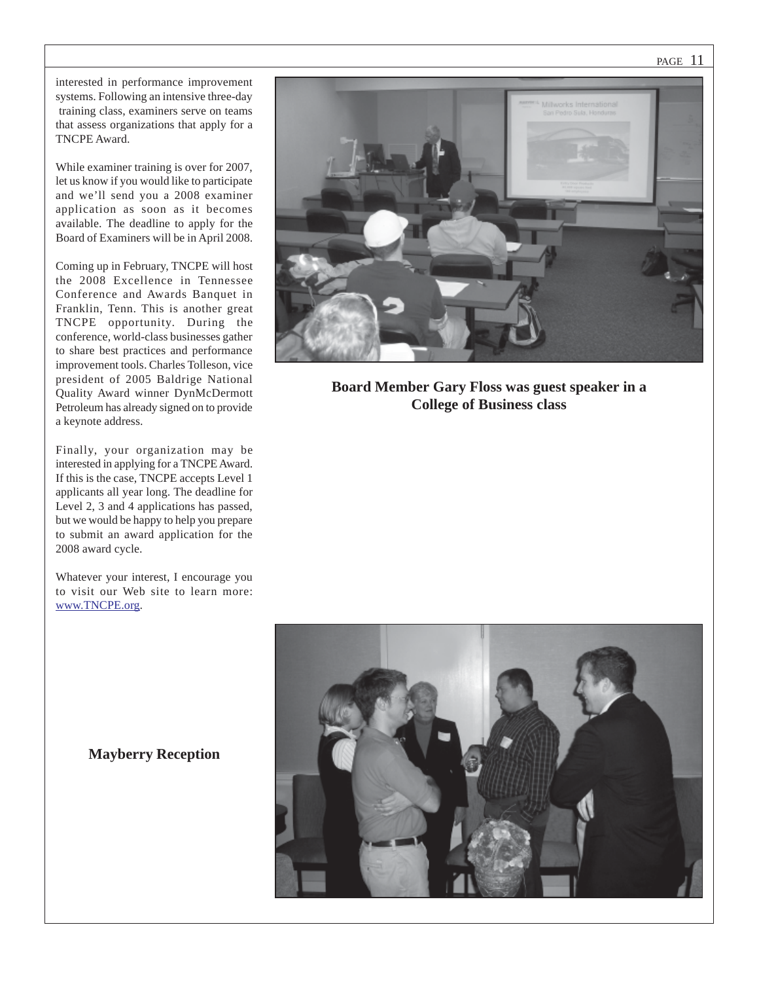PAGE 11

interested in performance improvement systems. Following an intensive three-day training class, examiners serve on teams that assess organizations that apply for a TNCPE Award.

While examiner training is over for 2007, let us know if you would like to participate and we'll send you a 2008 examiner application as soon as it becomes available. The deadline to apply for the Board of Examiners will be in April 2008.

Coming up in February, TNCPE will host the 2008 Excellence in Tennessee Conference and Awards Banquet in Franklin, Tenn. This is another great TNCPE opportunity. During the conference, world-class businesses gather to share best practices and performance improvement tools. Charles Tolleson, vice president of 2005 Baldrige National Quality Award winner DynMcDermott Petroleum has already signed on to provide a keynote address.

Finally, your organization may be interested in applying for a TNCPE Award. If this is the case, TNCPE accepts Level 1 applicants all year long. The deadline for Level 2, 3 and 4 applications has passed, but we would be happy to help you prepare to submit an award application for the 2008 award cycle.

Whatever your interest, I encourage you to visit our Web site to learn more: www.TNCPE.org.



**Board Member Gary Floss was guest speaker in a College of Business class**



**Mayberry Reception**